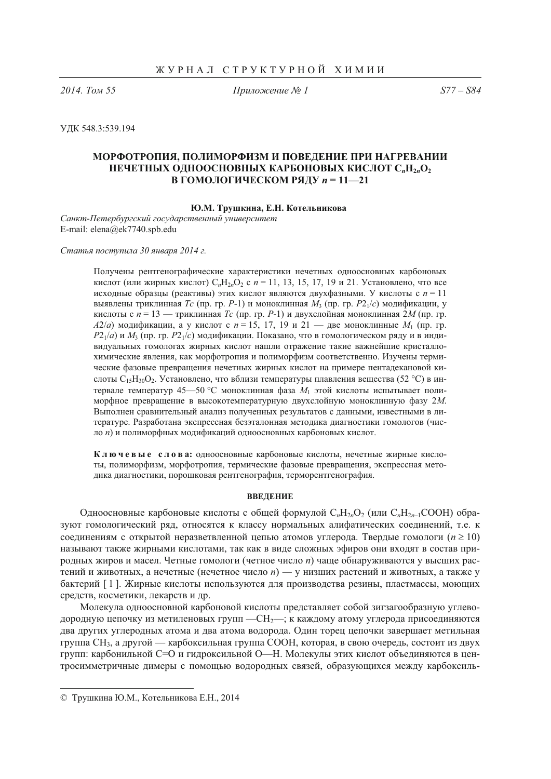2014. Том 55

Приложение № 1

 $S77 - S84$ 

УДК 548.3:539.194

# МОРФОТРОПИЯ, ПОЛИМОРФИЗМ И ПОВЕДЕНИЕ ПРИ НАГРЕВАНИИ НЕЧЕТНЫХ ОДНООСНОВНЫХ КАРБОНОВЫХ КИСЛОТ С"Н<sub>2</sub>0, В ГОМОЛОГИЧЕСКОМ РЯДУ n = 11-21

## Ю.М. Трушкина, Е.Н. Котельникова

Санкт-Петербургский государственный университет E-mail: elena@ek7740.spb.edu

Статья поступила 30 января 2014 г.

Получены рентгенографические характеристики нечетных одноосновных карбоновых кислот (или жирных кислот)  $C_nH_{2n}O_2$  с  $n = 11, 13, 15, 17, 19$  и 21. Установлено, что все исходные образцы (реактивы) этих кислот являются двухфазными. У кислоты с  $n = 11$ выявлены триклинная Tc (пр. гр. P-1) и моноклинная  $M_3$  (пр. гр. P2 $_1/c$ ) модификации, у кислоты с  $n = 13$  — триклинная Tc (пр. гр. P-1) и двухслойная моноклинная 2M (пр. гр.  $A2/a$ ) модификации, а у кислот с  $n = 15, 17, 19$  и  $21$  — две моноклинные  $M_1$  (пр. гр.  $P2_1/a$ ) и  $M_3$  (пр. гр.  $P2_1/c$ ) модификации. Показано, что в гомологическом ряду и в индивидуальных гомологах жирных кислот нашли отражение такие важнейшие кристаллохимические явления, как морфотропия и полиморфизм соответственно. Изучены термические фазовые превращения нечетных жирных кислот на примере пентадекановой кислоты  $C_{15}H_{30}O_2$ . Установлено, что вблизи температуры плавления вещества (52 °С) в интервале температур 45—50 °С моноклинная фаза  $M_1$  этой кислоты испытывает полиморфное превращение в высокотемпературную двухслойную моноклинную фазу 2М. Выполнен сравнительный анализ полученных результатов с данными, известными в литературе. Разработана экспрессная безэталонная методика диагностики гомологов (число n) и полиморфных модификаций одноосновных карбоновых кислот.

Ключевые слова: одноосновные карбоновые кислоты, нечетные жирные кислоты, полиморфизм, морфотропия, термические фазовые превращения, экспрессная метолика лиагностики, порошковая рентгенография, терморентгенография.

### **ВВЕЛЕНИЕ**

Одноосновные карбоновые кислоты с общей формулой  $C_nH_{2n}O_2$  (или  $C_nH_{2n-1}COOH$ ) образуют гомологический ряд, относятся к классу нормальных алифатических соединений, т.е. к соединениям с открытой неразветвленной цепью атомов углерода. Твердые гомологи ( $n \ge 10$ ) называют также жирными кислотами, так как в виде сложных эфиров они входят в состав природных жиров и масел. Четные гомологи (четное число *п*) чаще обнаруживаются у высших растений и животных, а нечетные (нечетное число n) — у низших растений и животных, а также у бактерий [1]. Жирные кислоты используются для производства резины, пластмассы, моющих средств, косметики, лекарств и др.

Молекула одноосновной карбоновой кислоты представляет собой зигзагообразную углеводородную цепочку из метиленовых групп - CH<sub>2</sub>, к каждому атому углерода присоединяются два других углеродных атома и два атома водорода. Один торец цепочки завершает метильная группа СН<sub>3</sub>, а другой — карбоксильная группа СООН, которая, в свою очередь, состоит из двух групп: карбонильной С=О и гилроксильной О—Н. Молекулы этих кислот объединяются в центросимметричные лимеры с помошью водородных связей, образующихся между карбоксиль-

<sup>©</sup> Трушкина Ю.М., Котельникова Е.Н., 2014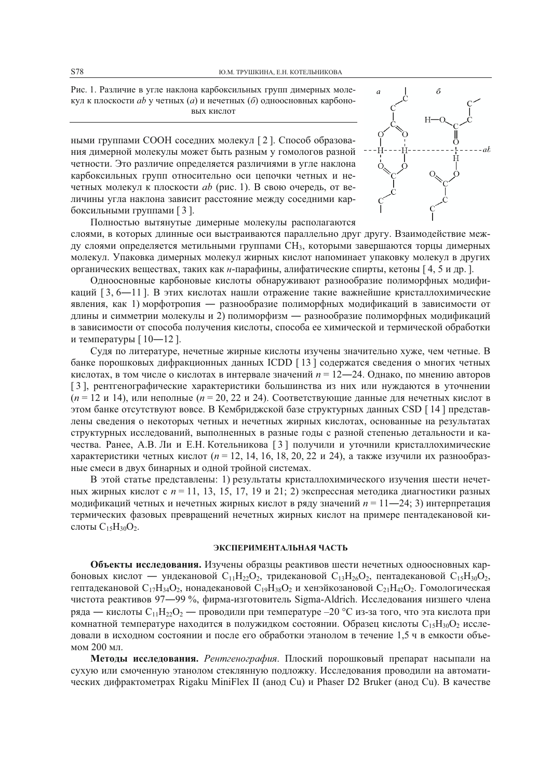Рис. 1. Различие в угле наклона карбоксильных групп димерных молекул к плоскости *ab* у четных (*a*) и нечетных (*6*) одноосновных карбоновых кислот

ными группами СООН соседних молекул [2]. Способ образования димерной молекулы может быть разным у гомологов разной четности. Это различие определяется различиями в угле наклона карбоксильных групп относительно оси цепочки четных и нечетных молекул к плоскости *ab* (рис. 1). В свою очередь, от величины угла наклона зависит расстояние между соседними карбоксильными группами [3].



Полностью вытянутые димерные молекулы располагаются слоями, в которых длинные оси выстраиваются параллельно друг другу. Взаимодействие между слоями определяется метильными группами СН<sub>3</sub>, которыми завершаются торцы димерных молекул. Упаковка димерных молекул жирных кислот напоминает упаковку молекул в других органических веществах, таких как *н*-парафины, алифатические спирты, кетоны [4, 5 и др.].

Одноосновные карбоновые кислоты обнаруживают разнообразие полиморфных модификаций [3, 6—11]. В этих кислотах нашли отражение такие важнейшие кристаллохимические явления, как 1) морфотропия — разнообразие полиморфных модификаций в зависимости от длины и симметрии молекулы и 2) полиморфизм — разнообразие полиморфных модификаций в зависимости от способа получения кислоты, способа ее химической и термической обработки и температуры  $[10-12]$ .

Судя по литературе, нечетные жирные кислоты изучены значительно хуже, чем четные. В банке порошковых дифракционных данных ICDD [13] содержатся сведения о многих четных кислотах, в том числе о кислотах в интервале значений  $n = 12-24$ . Однако, по мнению авторов [3], рентгенографические характеристики большинства из них или нуждаются в уточнении  $(n = 12 \text{ u } 14)$ , или неполные  $(n = 20, 22 \text{ u } 24)$ . Соответствующие данные для нечетных кислот в этом банке отсутствуют вовсе. В Кембриджской базе структурных данных CSD [14] представлены сведения о некоторых четных и нечетных жирных кислотах, основанные на результатах структурных исследований, выполненных в разные годы с разной степенью детальности и качества. Ранее, А.В. Ли и Е.Н. Котельникова [3] получили и уточнили кристаллохимические характеристики четных кислот ( $n = 12, 14, 16, 18, 20, 22$  и 24), а также изучили их разнообразные смеси в двух бинарных и одной тройной системах.

В этой статье представлены: 1) результаты кристаллохимического изучения шести нечетных жирных кислот с  $n = 11, 13, 15, 17, 19$  и 21; 2) экспрессная методика диагностики разных модификаций четных и нечетных жирных кислот в ряду значений  $n = 11 - 24$ ; 3) интерпретация термических фазовых превращений нечетных жирных кислот на примере пентадекановой кислоты  $C_{15}H_{30}O_2$ .

#### ЭКСПЕРИМЕНТАЛЬНАЯ ЧАСТЬ

Объекты исследования. Изучены образцы реактивов шести нечетных одноосновных карбоновых кислот — ундекановой  $C_{11}H_{22}O_2$ , тридекановой  $C_{13}H_{26}O_2$ , пентадекановой  $C_{15}H_{30}O_2$ , гептадекановой  $C_{17}H_{34}O_2$ , нонадекановой  $C_{19}H_{38}O_2$  и хенэйкозановой  $C_{21}H_{42}O_2$ . Гомологическая чистота реактивов 97-99 %, фирма-изготовитель Sigma-Aldrich. Исследования низшего члена ряда — кислоты  $C_{11}H_{22}O_2$  — проводили при температуре -20 °С из-за того, что эта кислота при комнатной температуре находится в полужидком состоянии. Образец кислоты  $C_{15}H_{30}O_2$  исследовали в исходном состоянии и после его обработки этанолом в течение 1,5 ч в емкости объемом 200 мл.

Методы исследования. Рентгенография. Плоский порошковый препарат насыпали на сухую или смоченную этанолом стеклянную подложку. Исследования проводили на автоматических дифрактометрах Rigaku MiniFlex II (анод Cu) и Phaser D2 Bruker (анод Cu). В качестве

S78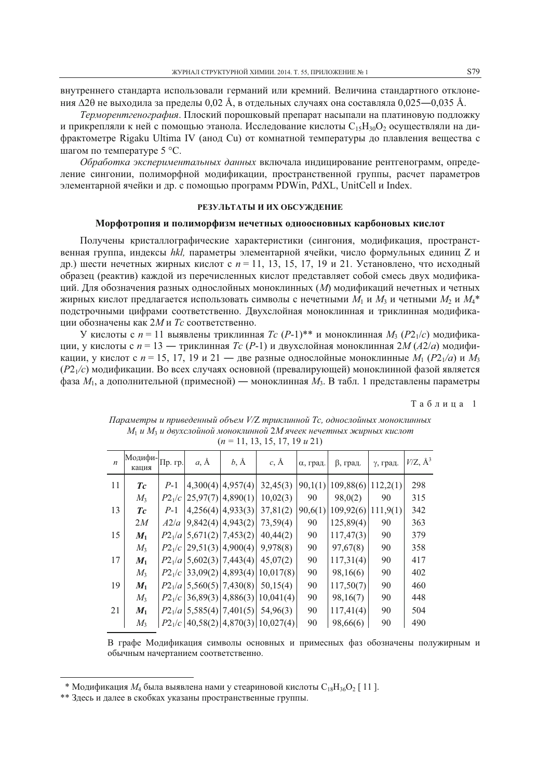внутреннего стандарта использовали германий или кремний. Величина стандартного отклонения  $\Delta 2\theta$  не выходила за пределы 0,02 Å, в отдельных случаях она составляла 0,025—0,035 Å.

Терморентгенография. Плоский порошковый препарат насыпали на платиновую подложку и прикрепляли к ней с помощью этанола. Исследование кислоты  $C_{15}H_{30}O_2$  осуществляли на дифрактометре Rigaku Ultima IV (анод Cu) от комнатной температуры до плавления вещества с шагом по температуре 5 °С.

Обработка экспериментальных данных включала индицирование рентгенограмм, определение сингонии, полиморфной модификации, пространственной группы, расчет параметров элементарной ячейки и др. с помощью программ PDWin, PdXL, UnitCell и Index.

### РЕЗУЛЬТАТЫ И ИХ ОБСУЖДЕНИЕ

### Морфотропия и полиморфизм нечетных одноосновных карбоновых кислот

Получены кристаллографические характеристики (сингония, модификация, пространственная группа, индексы hkl, параметры элементарной ячейки, число формульных единиц Z и др.) шести нечетных жирных кислот с  $n = 11, 13, 15, 17, 19$  и 21. Установлено, что исходный образец (реактив) каждой из перечисленных кислот представляет собой смесь двух модификаций. Для обозначения разных однослойных моноклинных (М) модификаций нечетных и четных жирных кислот предлагается использовать символы с нечетными  $M_1$  и  $M_3$  и четными  $M_2$  и  $M_4^*$ подстрочными цифрами соответственно. Двухслойная моноклинная и триклинная модификации обозначены как 2М и Тс соответственно.

У кислоты с  $n = 11$  выявлены триклинная  $T_c$  (P-1)<sup>\*\*</sup> и моноклинная  $M_3$  (P2<sub>1</sub>/c) модификации, у кислоты с  $n = 13$  — триклинная Tc (P-1) и двухслойная моноклинная 2M (A2/a) модификации, у кислот с  $n = 15$ , 17, 19 и 21 — две разные однослойные моноклинные  $M_1$  ( $P2_1/a$ ) и  $M_3$  $(P2<sub>1</sub>/c)$  модификации. Во всех случаях основной (превалирующей) моноклинной фазой является фаза  $M_1$ , а дополнительной (примесной) — моноклинная  $M_3$ . В табл. 1 представлены параметры

Таблица 1

| $(n-11, 13, 13, 17, 17, 12)$ |                  |              |                              |                        |                                      |          |           |          |                          |
|------------------------------|------------------|--------------|------------------------------|------------------------|--------------------------------------|----------|-----------|----------|--------------------------|
| $\boldsymbol{n}$             | Модифи-<br>кация | $\Pi$ р. гр. | $a, \AA$                     | $b, \AA$               | $c, \AA$                             | α, град. | β, град.  | у, град. | $V/Z$ , $\mathring{A}^3$ |
| 11                           | Tc               | $P-1$        |                              | $4,300(4)$ $ 4,957(4)$ | 32,45(3)                             | 90,1(1)  | 109,88(6) | 112,2(1) | 298                      |
|                              | $M_3$            | $P2_1/c$     | 25,97(7) 4,890(1)            |                        | 10,02(3)                             | 90       | 98,0(2)   | 90       | 315                      |
| 13                           | Tc               | $P-1$        |                              | $4,256(4)$ $ 4,933(3)$ | 37,81(2)                             | 90,6(1)  | 109,92(6) | 111,9(1) | 342                      |
|                              | 2M               | A2/a         |                              | $9,842(4)$ 4,943(2)    | 73,59(4)                             | 90       | 125,89(4) | 90       | 363                      |
| 15                           | $M_1$            |              | $P2_1/a$ 5,671(2) 7,453(2)   |                        | 40,44(2)                             | 90       | 117,47(3) | 90       | 379                      |
|                              | $M_3$            |              | $P2_1/c$ (29,51(3)(4,900(4)) |                        | 9,978(8)                             | 90       | 97,67(8)  | 90       | 358                      |
| 17                           | $M_1$            |              | $P2_1/a$ 5,602(3) 7,443(4)   |                        | 45,07(2)                             | 90       | 117,31(4) | 90       | 417                      |
|                              | $M_3$            | $P2_1/c$     |                              |                        | 33,09(2) 4,893(4) 10,017(8)          | 90       | 98,16(6)  | 90       | 402                      |
| 19                           | $M_1$            |              | $P2_1/a$ 5,560(5) 7,430(8)   |                        | 50,15(4)                             | 90       | 117,50(7) | 90       | 460                      |
|                              | $M_3$            |              |                              |                        | $P2_1/c$ 36,89(3) 4,886(3) 10,041(4) | 90       | 98,16(7)  | 90       | 448                      |
| 21                           | $M_1$            |              | $P2_1/a$ 5,585(4) 7,401(5)   |                        | 54,96(3)                             | 90       | 117,41(4) | 90       | 504                      |
|                              | $M_3$            |              |                              |                        | $P2_1/c$ 40,58(2) 4,870(3) 10,027(4) | 90       | 98,66(6)  | 90       | 490                      |

Параметры и приведенный объем V/Z триклинной Tc, однослойных моноклинных  $M_1 u M_3 u$  двухслойной моноклинной 2M ячеек нечетных жирных кислот  $(n = 11, 13, 15, 17, 10, \ldots, 21)$ 

В графе Модификация символы основных и примесных фаз обозначены полужирным и обычным начертанием соответственно.

<sup>\*</sup> Модификация  $M_4$  была выявлена нами у стеариновой кислоты  $C_{18}H_{36}O_2$  [11].

<sup>\*\*</sup> Злесь и далее в скобках указаны пространственные группы.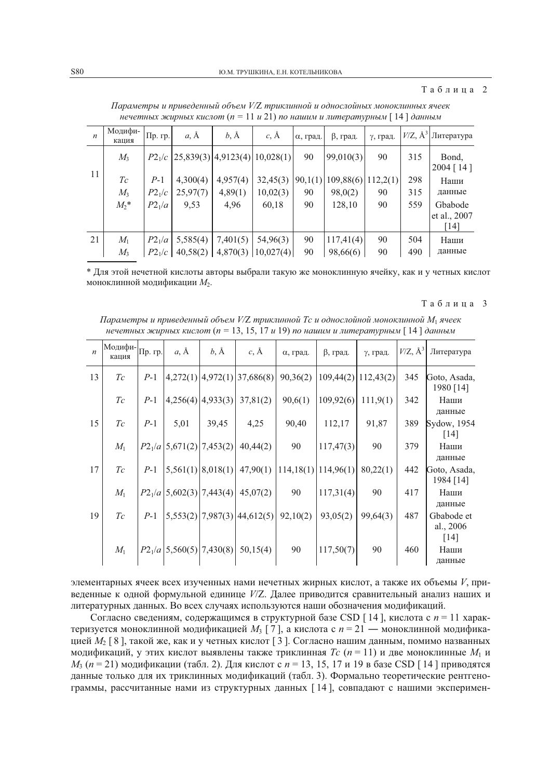| $\boldsymbol{n}$ | Модифи-<br>кашия | Пр. гр.            | $a, \AA$ | $b, \AA$                                 | $c, \mathbf{A}$        | α, град. | β, град.  | у, град. |     | $V/Z$ , $\mathring{A}^3$ Литература |
|------------------|------------------|--------------------|----------|------------------------------------------|------------------------|----------|-----------|----------|-----|-------------------------------------|
|                  | $M_3$            |                    |          | $P2_1/c$ (25,839(3)(4,9123(4)(10,028(1)) |                        | 90       | 99,010(3) | 90       | 315 | Bond,<br>$2004$ [14]                |
| 11               | Tc               | $P-1$              | 4,300(4) | 4,957(4)                                 | 32,45(3)               | 90,1(1)  | 109,88(6) | 112,2(1) | 298 | Наши                                |
|                  | $M_3$            | $P2_1/c$           | 25,97(7) | 4,89(1)                                  | 10,02(3)               | 90       | 98,0(2)   | 90       | 315 | данные                              |
|                  | $M_2^*$          | P2 <sub>1</sub> /a | 9,53     | 4,96                                     | 60,18                  | 90       | 128,10    | 90       | 559 | Gbabode                             |
|                  |                  |                    |          |                                          |                        |          |           |          |     | et al., 2007                        |
|                  |                  |                    |          |                                          |                        |          |           |          |     | [14]                                |
| 21               | $M_1$            | P2 <sub>1</sub> /a | 5,585(4) | 7,401(5)                                 | 54,96(3)               | 90       | 117,41(4) | 90       | 504 | Наши                                |
|                  | $M_{\rm{2}}$     | $P2_1/c$           | 40,58(2) |                                          | $4,870(3)$   10,027(4) | 90       | 98,66(6)  | 90       | 490 | данные                              |

Параметры и приведенный объем V/Z триклинной и однослойных моноклинных ячеек нечетных жирных кислот (n = 11 и 21) по нашим и литературным [14] данным

\* Для этой нечетной кислоты авторы выбрали такую же моноклинную ячейку, как и у четных кислот моноклинной модификации  $M_2$ .

### Таблина 3

Параметры и приведенный объем V/Z триклинной Tc и однослойной моноклинной M<sub>1</sub> ячеек нечетных жирных кислот (п = 13, 15, 17 и 19) по нашим и литературным [14] данным

| $\boldsymbol{n}$ | Модифи-Пр. гр.<br>кашия |       | $a, \AA$                   | $b, \AA$               | $c, \AA$                          | α, град. | $\beta$ , град.       | у, град.  | $V/Z$ , $\AA^3$ | Литература                |
|------------------|-------------------------|-------|----------------------------|------------------------|-----------------------------------|----------|-----------------------|-----------|-----------------|---------------------------|
| 13               | Tc                      | $P-1$ |                            |                        | $4,272(1)$ $ 4,972(1)$ 37,686(8)  | 90,36(2) | 109,44(2)             | 112,43(2) | 345             | Goto, Asada,<br>1980 [14] |
|                  | Tc                      | $P-1$ |                            | $4,256(4)$ $ 4,933(3)$ | 37,81(2)                          | 90,6(1)  | 109,92(6)             | 111,9(1)  | 342             | Наши<br>данные            |
| 15               | Tc                      | $P-1$ | 5,01                       | 39,45                  | 4,25                              | 90,40    | 112,17                | 91,87     | 389             | Sydow, 1954<br>[14]       |
|                  | $M_1$                   |       | $P2_1/a$ 5,671(2) 7,453(2) |                        | 40,44(2)                          | 90       | 117,47(3)             | 90        | 379             | Наши<br>данные            |
| 17               | Tc                      | $P-1$ |                            | $5,561(1)$ 8,018(1)    | 47,90(1)                          |          | $114,18(1)$ 114,96(1) | 80,22(1)  | 442             | Goto, Asada,<br>1984 [14] |
|                  | $M_1$                   |       | $P2_1/a$ 5,602(3) 7,443(4) |                        | 45,07(2)                          | 90       | 117,31(4)             | 90        | 417             | Наши<br>данные            |
| 19               | Tc                      | $P-1$ |                            |                        | $5,553(2)$   7,987(3)   44,612(5) | 92,10(2) | 93,05(2)              | 99,64(3)  | 487             | Gbabode et<br>al., 2006   |
|                  |                         |       |                            |                        |                                   |          |                       |           |                 | $\lceil 14 \rceil$        |
|                  | $M_1$                   |       | $P2_1/a$ 5,560(5) 7,430(8) |                        | 50,15(4)                          | 90       | 117,50(7)             | 90        | 460             | Наши<br>данные            |

элементарных ячеек всех изученных нами нечетных жирных кислот, а также их объемы  $V$ , приведенные к одной формульной единице V/Z. Далее приводится сравнительный анализ наших и литературных данных. Во всех случаях используются наши обозначения модификаций.

Согласно сведениям, содержащимся в структурной базе CSD [14], кислота с  $n = 11$  характеризуется моноклинной модификацией  $M_3$  [7], а кислота с  $n = 21$  — моноклинной модификацией  $M_2$  [8], такой же, как и у четных кислот [3]. Согласно нашим данным, помимо названных модификаций, у этих кислот выявлены также триклинная  $T_c$  ( $n = 11$ ) и две моноклинные  $M_1$  и  $M_3$  (n = 21) модификации (табл. 2). Для кислот с n = 13, 15, 17 и 19 в базе CSD [14] приводятся данные только для их триклинных модификаций (табл. 3). Формально теоретические рентгенограммы, рассчитанные нами из структурных данных [14], совпадают с нашими эксперимен-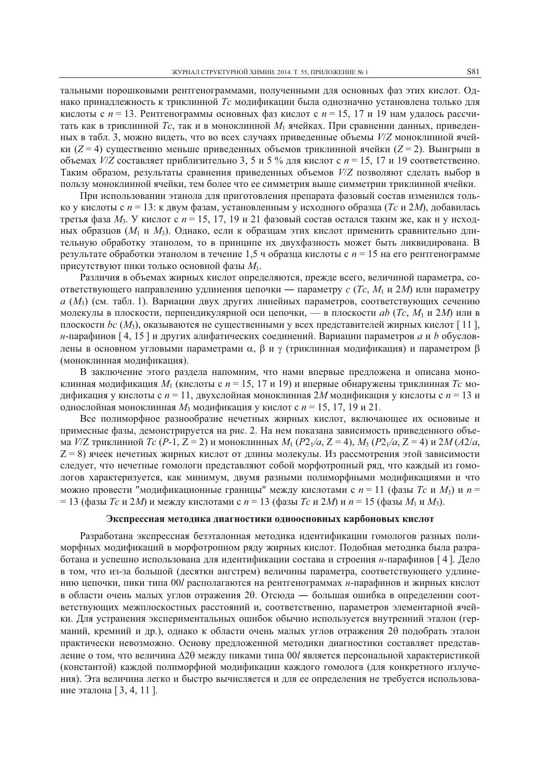тальными порошковыми рентгенограммами, полученными для основных фаз этих кислот. Однако принадлежность к триклинной Тс модификации была однозначно установлена только для кислоты с  $n = 13$ . Рентгенограммы основных фаз кислот с  $n = 15$ , 17 и 19 нам удалось рассчитать как в триклинной Tc, так и в моноклинной  $M_1$  ячейках. При сравнении данных, приведенных в табл. 3, можно видеть, что во всех случаях приведенные объемы  $V/Z$  моноклинной ячейки  $(Z = 4)$  существенно меньше приведенных объемов триклинной ячейки  $(Z = 2)$ . Выигрыш в объемах  $V/Z$  составляет приблизительно 3, 5 и 5 % для кислот с  $n = 15$ , 17 и 19 соответственно. Таким образом, результаты сравнения приведенных объемов V/Z позволяют сделать выбор в пользу моноклинной ячейки, тем более что ее симметрия выше симметрии триклинной ячейки.

При использовании этанола для приготовления препарата фазовый состав изменился только у кислоты с  $n = 13$ : к двум фазам, установленным у исходного образца (*Тс и 2M*), добавилась третья фаза  $M_3$ . У кислот с  $n = 15, 17, 19$  и 21 фазовый состав остался таким же, как и у исходных образцов ( $M_1$  и  $M_3$ ). Однако, если к образцам этих кислот применить сравнительно длительную обработку этанолом, то в принципе их двухфазность может быть ликвидирована. В результате обработки этанолом в течение 1,5 ч образца кислоты с  $n = 15$  на его рентгенограмме присутствуют пики только основной фазы  $M_1$ .

Различия в объемах жирных кислот определяются, прежде всего, величиной параметра, соответствующего направлению удлинения цепочки — параметру с (Tc,  $M_1$  и 2M) или параметру  $a$  ( $M_3$ ) (см. табл. 1). Вариации двух других линейных параметров, соответствующих сечению молекулы в плоскости, перпендикулярной оси цепочки, — в плоскости *ab* (*Tc*, *M*<sub>1</sub> и 2*M*) или в плоскости bc ( $M_3$ ), оказываются не существенными у всех представителей жирных кислот [11], н-парафинов [4, 15] и других алифатических соединений. Вариации параметров а и b обусловлены в основном угловыми параметрами  $\alpha$ ,  $\beta$  и  $\gamma$  (триклинная модификация) и параметром  $\beta$ (моноклинная модификация).

В заключение этого раздела напомним, что нами впервые предложена и описана моноклинная модификация  $M_1$  (кислоты с  $n = 15$ , 17 и 19) и впервые обнаружены триклинная Tc модификация у кислоты с  $n = 11$ , двухслойная моноклинная 2M модификация у кислоты с  $n = 13$  и однослойная моноклинная  $M_3$  модификация у кислот с  $n = 15$ , 17, 19 и 21.

Все полиморфное разнообразие нечетных жирных кислот, включающее их основные и примесные фазы, демонстрируется на рис. 2. На нем показана зависимость приведенного объема  $V/Z$  триклинной  $Tc$  (P-1, Z = 2) и моноклинных  $M_1$  (P2<sub>1</sub>/a, Z = 4),  $M_3$  (P2<sub>1</sub>/a, Z = 4) и 2M (A2/a,  $Z = 8$ ) ячеек нечетных жирных кислот от длины молекулы. Из рассмотрения этой зависимости следует, что нечетные гомологи представляют собой морфотропный ряд, что каждый из гомологов характеризуется, как минимум, двумя разными полиморфными модификациями и что можно провести "модификационные границы" между кислотами с  $n = 11$  (фазы Tc и  $M_3$ ) и  $n =$ = 13 (фазы *Тс и 2M*) и между кислотами с  $n = 13$  (фазы *Тс и 2M*) и  $n = 15$  (фазы  $M_1$  и  $M_3$ ).

### Экспрессная методика диагностики одноосновных карбоновых кислот

Разработана экспрессная безэталонная методика идентификации гомологов разных полиморфных модификаций в морфотропном ряду жирных кислот. Подобная методика была разработана и успешно использована для идентификации состава и строения и-парафинов [4]. Дело в том, что из-за большой (десятки ангстрем) величины параметра, соответствующего удлинению цепочки, пики типа 00/ располагаются на рентгенограммах *н*-парафинов и жирных кислот в области очень малых углов отражения 20. Отсюда — большая ошибка в определении соответствующих межплоскостных расстояний и, соответственно, параметров элементарной ячейки. Для устранения экспериментальных ошибок обычно используется внутренний эталон (германий, кремний и др.), однако к области очень малых углов отражения 20 подобрать эталон практически невозможно. Основу предложенной методики диагностики составляет представление о том, что величина  $\Delta 2\theta$  между пиками типа 00/ является персональной характеристикой (константой) кажлой полиморфной молификации кажлого гомолога (для конкретного излучения). Эта величина легко и быстро вычисляется и для ее определения не требуется использование эталона [3, 4, 11].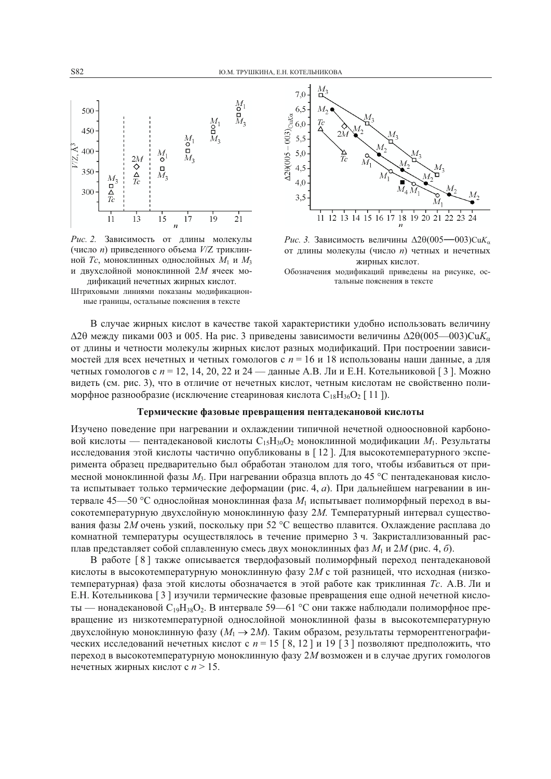

Рис. 2. Зависимость от длины молекулы (число *п*) приведенного объема  $V/Z$  триклинной *Tc*, моноклинных однослойных  $M_1$  и  $M_3$ и двухслойной моноклинной 2М ячеек модификаций нечетных жирных кислот.

Штриховыми линиями показаны модификационные границы, остальные пояснения в тексте



Рис. 3. Зависимость величины  $\Delta 2\theta (005 - 003)$ Си $K_{\alpha}$ от длины молекулы (число *n*) четных и нечетных жирных кислот.

Обозначения модификаций приведены на рисунке, остальные пояснения в тексте

В случае жирных кислот в качестве такой характеристики удобно использовать величину  $\Delta$ 20 между пиками 003 и 005. На рис. 3 приведены зависимости величины  $\Delta$ 20(005—003)Cu $K_{\alpha}$ от длины и четности молекулы жирных кислот разных модификаций. При построении зависимостей для всех нечетных и четных гомологов с  $n = 16$  и 18 использованы наши данные, а для четных гомологов с  $n = 12, 14, 20, 22$  и  $24$  — данные А.В. Ли и Е.Н. Котельниковой [3]. Можно видеть (см. рис. 3), что в отличие от нечетных кислот, четным кислотам не свойственно полиморфное разнообразие (исключение стеариновая кислота  $C_{18}H_{36}O_2$  [11]).

### Термические фазовые превращения пентадекановой кислоты

Изучено поведение при нагревании и охлаждении типичной нечетной одноосновной карбоновой кислоты — пенталекановой кислоты  $C_1sH_{30}O_2$  моноклинной молификации  $M_1$ . Результаты исследования этой кислоты частично опубликованы в [12]. Для высокотемпературного эксперимента образец предварительно был обработан этанолом для того, чтобы избавиться от примесной моноклинной фазы  $M_3$ . При нагревании образца вплоть до 45 °С пентадекановая кислота испытывает только термические деформации (рис. 4, а). При дальнейшем нагревании в интервале 45—50 °С однослойная моноклинная фаза  $M_1$  испытывает полиморфный переход в высокотемпературную двухслойную моноклинную фазу 2М. Температурный интервал существования фазы 2M очень узкий, поскольку при 52 °С вещество плавится. Охлаждение расплава до комнатной температуры осуществлялось в течение примерно 3 ч. Закристаллизованный расплав представляет собой сплавленную смесь двух моноклинных фаз  $M_1$  и 2M (рис. 4, 6).

В работе [8] также описывается твердофазовый полиморфный переход пентадекановой кислоты в высокотемпературную моноклинную фазу 2M с той разницей, что исходная (низкотемпературная) фаза этой кислоты обозначается в этой работе как триклинная Тс. А.В. Ли и Е.Н. Котельникова [3] изучили термические фазовые превращения еще одной нечетной кислоты — нонадекановой  $C_{19}H_{38}O_2$ . В интервале 59—61 °С они также наблюдали полиморфное превращение из низкотемпературной однослойной моноклинной фазы в высокотемпературную двухслойную моноклинную фазу ( $M_1 \rightarrow 2M$ ). Таким образом, результаты терморентгенографических исследований нечетных кислот с  $n = 15 [8, 12]$  и 19 [3] позволяют предположить, что переход в высокотемпературную моноклинную фазу 2M возможен и в случае других гомологов нечетных жирных кислот с  $n > 15$ .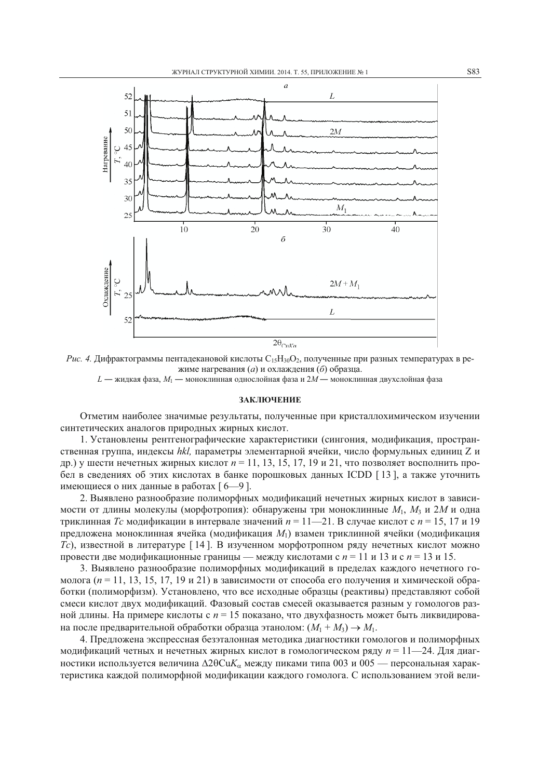

Рис. 4. Дифрактограммы пентадекановой кислоты C<sub>15</sub>H<sub>30</sub>O<sub>2</sub>, полученные при разных температурах в режиме нагревания (а) и охлаждения (б) образца.  $L$  — жидкая фаза,  $M_1$  — моноклинная однослойная фаза и  $2M$  — моноклинная двухслойная фаза

#### ЗАКЛЮЧЕНИЕ

Отметим наиболее значимые результаты, полученные при кристаллохимическом изучении синтетических аналогов природных жирных кислот.

1. Установлены рентгенографические характеристики (сингония, модификация, пространственная группа, индексы hkl. параметры элементарной ячейки, число формульных единиц Z и др.) у шести нечетных жирных кислот  $n = 11, 13, 15, 17, 19$  и 21, что позволяет восполнить пробел в сведениях об этих кислотах в банке порошковых данных ICDD [13], а также уточнить имеющиеся о них данные в работах [6-9].

2. Выявлено разнообразие полиморфных модификаций нечетных жирных кислот в зависимости от длины молекулы (морфотропия): обнаружены три моноклинные  $M_1$ ,  $M_3$  и 2M и одна триклинная *Тс* модификации в интервале значений  $n = 11$ —21. В случае кислот с  $n = 15$ , 17 и 19 предложена моноклинная ячейка (модификация  $M_1$ ) взамен триклинной ячейки (модификация Tc), известной в литературе [14]. В изученном морфотропном ряду нечетных кислот можно провести две модификационные границы — между кислотами с  $n = 11$  и 13 и с  $n = 13$  и 15.

3. Выявлено разнообразие полиморфных модификаций в пределах каждого нечетного гомолога ( $n = 11, 13, 15, 17, 19$  и 21) в зависимости от способа его получения и химической обработки (полиморфизм). Установлено, что все исходные образцы (реактивы) представляют собой смеси кислот двух модификаций. Фазовый состав смесей оказывается разным у гомологов разной длины. На примере кислоты с  $n = 15$  показано, что двухфазность может быть ликвидирована после предварительной обработки образца этанолом:  $(M_1 + M_3) \rightarrow M_1$ .

4. Предложена экспрессная безэталонная методика диагностики гомологов и полиморфных модификаций четных и нечетных жирных кислот в гомологическом ряду  $n = 11 - 24$ . Для диагностики используется величина  $\Delta 2\theta CuK_{\alpha}$  между пиками типа 003 и 005 — персональная характеристика каждой полиморфной модификации каждого гомолога. С использованием этой вели